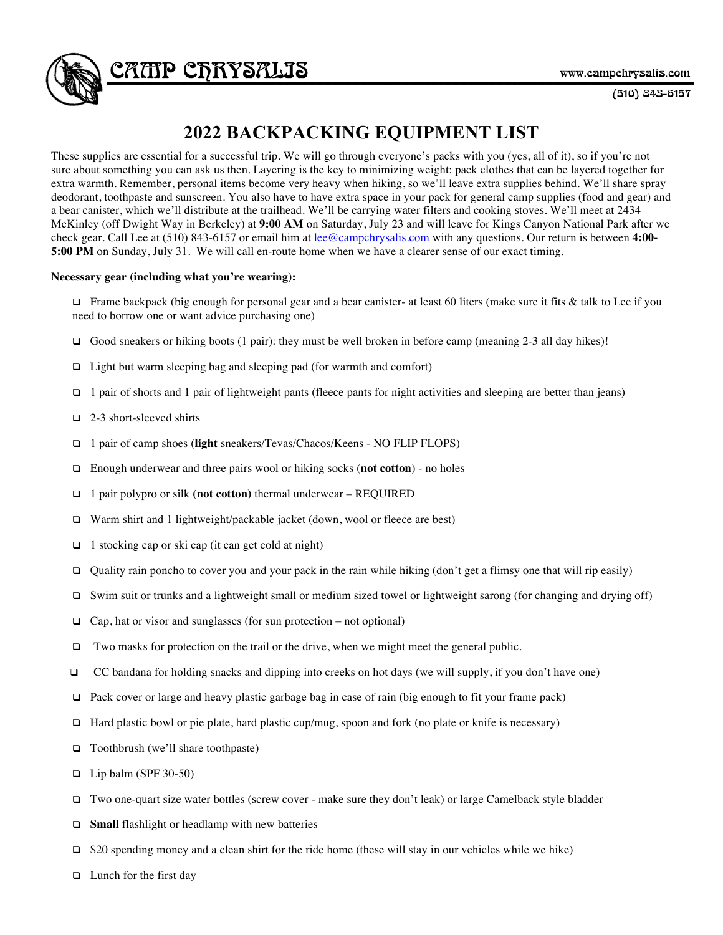

 $(510) 843 - 6157$ 

## **2022 BACKPACKING EQUIPMENT LIST**

These supplies are essential for a successful trip. We will go through everyone's packs with you (yes, all of it), so if you're not sure about something you can ask us then. Layering is the key to minimizing weight: pack clothes that can be layered together for extra warmth. Remember, personal items become very heavy when hiking, so we'll leave extra supplies behind. We'll share spray deodorant, toothpaste and sunscreen. You also have to have extra space in your pack for general camp supplies (food and gear) and a bear canister, which we'll distribute at the trailhead. We'll be carrying water filters and cooking stoves. We'll meet at 2434 McKinley (off Dwight Way in Berkeley) at **9:00 AM** on Saturday, July 23 and will leave for Kings Canyon National Park after we check gear. Call Lee at (510) 843-6157 or email him at lee@campchrysalis.com with any questions. Our return is between **4:00- 5:00 PM** on Sunday, July 31. We will call en-route home when we have a clearer sense of our exact timing.

## **Necessary gear (including what you're wearing):**

 $\Box$  Frame backpack (big enough for personal gear and a bear canister- at least 60 liters (make sure it fits & talk to Lee if you need to borrow one or want advice purchasing one)

- Good sneakers or hiking boots (1 pair): they must be well broken in before camp (meaning 2-3 all day hikes)!
- $\Box$  Light but warm sleeping bag and sleeping pad (for warmth and comfort)
- $\Box$  1 pair of shorts and 1 pair of lightweight pants (fleece pants for night activities and sleeping are better than jeans)
- $\Box$  2-3 short-sleeved shirts
- q 1 pair of camp shoes (**light** sneakers/Tevas/Chacos/Keens NO FLIP FLOPS)
- □ Enough underwear and three pairs wool or hiking socks (**not cotton**) no holes
- q 1 pair polypro or silk **(not cotton)** thermal underwear REQUIRED
- □ Warm shirt and 1 lightweight/packable jacket (down, wool or fleece are best)
- $\Box$  1 stocking cap or ski cap (it can get cold at night)
- Quality rain poncho to cover you and your pack in the rain while hiking (don't get a flimsy one that will rip easily)
- $\Box$  Swim suit or trunks and a lightweight small or medium sized towel or lightweight sarong (for changing and drying off)
- $\Box$  Cap, hat or visor and sunglasses (for sun protection not optional)
- $\Box$  Two masks for protection on the trail or the drive, when we might meet the general public.
- $\Box$  CC bandana for holding snacks and dipping into creeks on hot days (we will supply, if you don't have one)
- $\Box$  Pack cover or large and heavy plastic garbage bag in case of rain (big enough to fit your frame pack)
- $\Box$  Hard plastic bowl or pie plate, hard plastic cup/mug, spoon and fork (no plate or knife is necessary)
- q Toothbrush (we'll share toothpaste)
- $\Box$  Lip balm (SPF 30-50)
- q Two one-quart size water bottles (screw cover make sure they don't leak) or large Camelback style bladder
- **Q** Small flashlight or headlamp with new batteries
- $\Box$  \$20 spending money and a clean shirt for the ride home (these will stay in our vehicles while we hike)
- $\Box$  Lunch for the first day